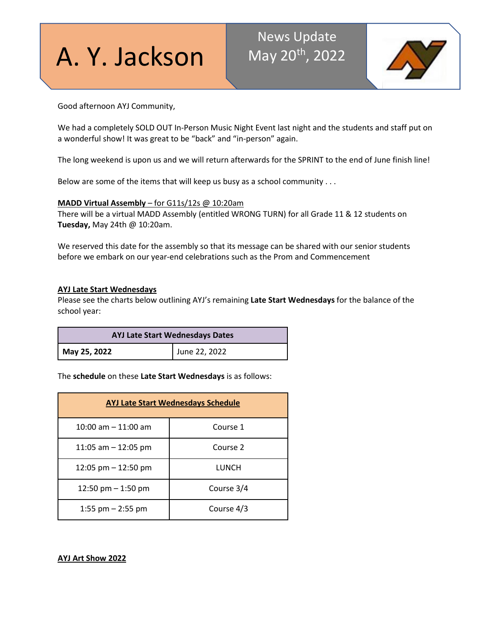A. Y. Jackson

### News Update May 20<sup>th</sup>, 2022



Good afternoon AYJ Community,

We had a completely SOLD OUT In-Person Music Night Event last night and the students and staff put on a wonderful show! It was great to be "back" and "in-person" again.

The long weekend is upon us and we will return afterwards for the SPRINT to the end of June finish line!

Below are some of the items that will keep us busy as a school community . . .

#### **MADD Virtual Assembly** – for G11s/12s @ 10:20am

There will be a virtual MADD Assembly (entitled WRONG TURN) for all Grade 11 & 12 students on **Tuesday,** May 24th @ 10:20am.

We reserved this date for the assembly so that its message can be shared with our senior students before we embark on our year-end celebrations such as the Prom and Commencement

#### **AYJ Late Start Wednesdays**

Please see the charts below outlining AYJ's remaining **Late Start Wednesdays** for the balance of the school year:

| <b>AYJ Late Start Wednesdays Dates</b> |               |  |
|----------------------------------------|---------------|--|
| May 25, 2022                           | June 22, 2022 |  |

The **schedule** on these **Late Start Wednesdays** is as follows:

| <b>AYJ Late Start Wednesdays Schedule</b> |            |  |
|-------------------------------------------|------------|--|
| 10:00 am $-$ 11:00 am                     | Course 1   |  |
| 11:05 am $-$ 12:05 pm                     | Course 2   |  |
| 12:05 pm $-$ 12:50 pm                     | LUNCH      |  |
| 12:50 pm $-$ 1:50 pm                      | Course 3/4 |  |
| 1:55 pm $-$ 2:55 pm                       | Course 4/3 |  |

**AYJ Art Show 2022**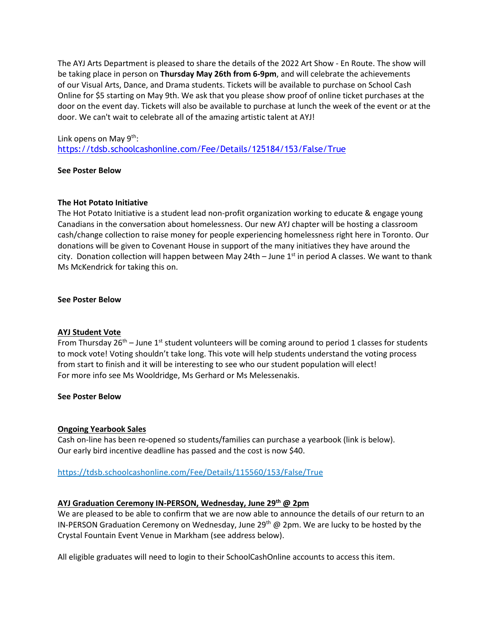The AYJ Arts Department is pleased to share the details of the 2022 Art Show - En Route. The show will be taking place in person on **Thursday May 26th from 6-9pm**, and will celebrate the achievements of our Visual Arts, Dance, and Drama students. Tickets will be available to purchase on School Cash Online for \$5 starting on May 9th. We ask that you please show proof of online ticket purchases at the door on the event day. Tickets will also be available to purchase at lunch the week of the event or at the door. We can't wait to celebrate all of the amazing artistic talent at AYJ!

#### Link opens on May 9<sup>th</sup>:

<https://tdsb.schoolcashonline.com/Fee/Details/125184/153/False/True>

#### **See Poster Below**

#### **The Hot Potato Initiative**

The Hot Potato Initiative is a student lead non-profit organization working to educate & engage young Canadians in the conversation about homelessness. Our new AYJ chapter will be hosting a classroom cash/change collection to raise money for people experiencing homelessness right here in Toronto. Our donations will be given to Covenant House in support of the many initiatives they have around the city. Donation collection will happen between May 24th – June  $1<sup>st</sup>$  in period A classes. We want to thank Ms McKendrick for taking this on.

#### **See Poster Below**

#### **AYJ Student Vote**

From Thursday 26<sup>th</sup> – June 1<sup>st</sup> student volunteers will be coming around to period 1 classes for students to mock vote! Voting shouldn't take long. This vote will help students understand the voting process from start to finish and it will be interesting to see who our student population will elect! For more info see Ms Wooldridge, Ms Gerhard or Ms Melessenakis.

#### **See Poster Below**

#### **Ongoing Yearbook Sales**

Cash on-line has been re-opened so students/families can purchase a yearbook (link is below). Our early bird incentive deadline has passed and the cost is now \$40.

#### <https://tdsb.schoolcashonline.com/Fee/Details/115560/153/False/True>

#### **AYJ Graduation Ceremony IN-PERSON, Wednesday, June 29th @ 2pm**

We are pleased to be able to confirm that we are now able to announce the details of our return to an IN-PERSON Graduation Ceremony on Wednesday, June 29<sup>th</sup> @ 2pm. We are lucky to be hosted by the Crystal Fountain Event Venue in Markham (see address below).

All eligible graduates will need to login to their SchoolCashOnline accounts to access this item.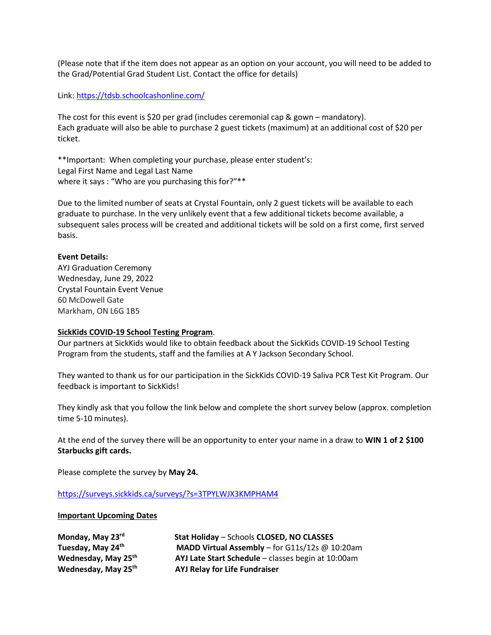(Please note that if the item does not appear as an option on your account, you will need to be added to the Grad/Potential Grad Student List. Contact the office for details)

Link:<https://tdsb.schoolcashonline.com/>

The cost for this event is \$20 per grad (includes ceremonial cap & gown – mandatory). Each graduate will also be able to purchase 2 guest tickets (maximum) at an additional cost of \$20 per ticket.

\*\*Important: When completing your purchase, please enter student's: Legal First Name and Legal Last Name where it says : "Who are you purchasing this for?"\*\*

Due to the limited number of seats at Crystal Fountain, only 2 guest tickets will be available to each graduate to purchase. In the very unlikely event that a few additional tickets become available, a subsequent sales process will be created and additional tickets will be sold on a first come, first served basis.

#### **Event Details:**

AYJ Graduation Ceremony Wednesday, June 29, 2022 Crystal Fountain Event Venue 60 McDowell Gate Markham, ON L6G 1B5

#### **SickKids COVID-19 School Testing Program**.

Our partners at SickKids would like to obtain feedback about the SickKids COVID-19 School Testing Program from the students, staff and the families at A Y Jackson Secondary School.

They wanted to thank us for our participation in the SickKids COVID-19 Saliva PCR Test Kit Program. Our feedback is important to SickKids! 

They kindly ask that you follow the link below and complete the short survey below (approx. completion time 5-10 minutes). 

At the end of the survey there will be an opportunity to enter your name in a draw to **WIN 1 of 2 \$100 Starbucks gift cards.**

Please complete the survey by **May 24.**

<https://surveys.sickkids.ca/surveys/?s=3TPYLWJX3KMPHAM4>

#### **Important Upcoming Dates**

| Monday, May 23rd                |  |  |
|---------------------------------|--|--|
| Tuesday, May 24 <sup>th</sup>   |  |  |
| Wednesday, May 25 <sup>th</sup> |  |  |
| Wednesday, May 25 <sup>th</sup> |  |  |

**Stat Holiday – Schools CLOSED, NO CLASSES MADD Virtual Assembly – for G11s/12s @ 10:20am AYJ Late Start Schedule** – classes begin at 10:00am **AYJ Relay for Life Fundraiser**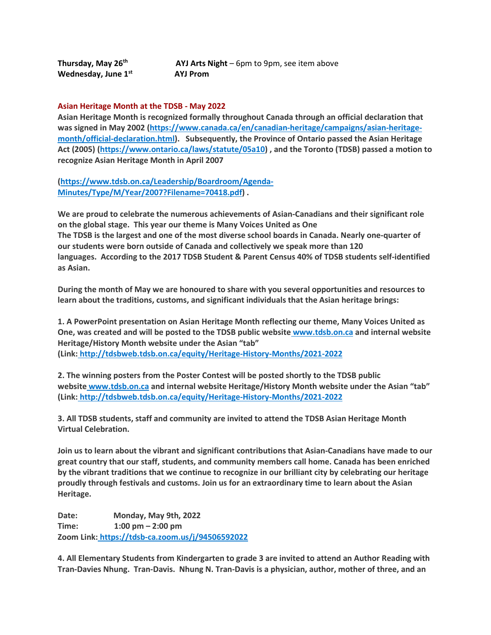**Wednesday, June 1st AYJ Prom** 

**Thursday, May 26<sup>th</sup> AYJ Arts Night** – 6pm to 9pm, see item above

#### **Asian Heritage Month at the TDSB - May 2022**

**Asian Heritage Month is recognized formally throughout Canada through an official declaration that was signed in May 2002 [\(https://www.canada.ca/en/canadian-heritage/campaigns/asian-heritage](https://www.canada.ca/en/canadian-heritage/campaigns/asian-heritage-month/official-declaration.html)[month/official-declaration.html\)](https://www.canada.ca/en/canadian-heritage/campaigns/asian-heritage-month/official-declaration.html). Subsequently, the Province of Ontario passed the Asian Heritage Act (2005) [\(https://www.ontario.ca/laws/statute/05a10\)](https://www.ontario.ca/laws/statute/05a10) , and the Toronto (TDSB) passed a motion to recognize Asian Heritage Month in April 2007** 

**[\(https://www.tdsb.on.ca/Leadership/Boardroom/Agenda-](https://www.tdsb.on.ca/Leadership/Boardroom/Agenda-Minutes/Type/M/Year/2007?Filename=70418.pdf)[Minutes/Type/M/Year/2007?Filename=70418.pdf\)](https://www.tdsb.on.ca/Leadership/Boardroom/Agenda-Minutes/Type/M/Year/2007?Filename=70418.pdf) .**

**We are proud to celebrate the numerous achievements of Asian-Canadians and their significant role on the global stage. This year our theme is Many Voices United as One The TDSB is the largest and one of the most diverse school boards in Canada. Nearly one-quarter of our students were born outside of Canada and collectively we speak more than 120 languages. According to the 2017 TDSB Student & Parent Census 40% of TDSB students self-identified as Asian.**

**During the month of May we are honoured to share with you several opportunities and resources to learn about the traditions, customs, and significant individuals that the Asian heritage brings:**

**1. A PowerPoint presentation on Asian Heritage Month reflecting our theme, Many Voices United as One, was created and will be posted to the TDSB public website [www.tdsb.on.ca](http://www.tdsb.on.ca/) and internal website Heritage/History Month website under the Asian "tab" (Link: <http://tdsbweb.tdsb.on.ca/equity/Heritage-History-Months/2021-2022>**

**2. The winning posters from the Poster Contest will be posted shortly to the TDSB public website [www.tdsb.on.ca](http://www.tdsb.on.ca/) and internal website Heritage/History Month website under the Asian "tab" (Link: <http://tdsbweb.tdsb.on.ca/equity/Heritage-History-Months/2021-2022>**

**3. All TDSB students, staff and community are invited to attend the TDSB Asian Heritage Month Virtual Celebration.**

**Join us to learn about the vibrant and significant contributions that Asian-Canadians have made to our great country that our staff, students, and community members call home. Canada has been enriched by the vibrant traditions that we continue to recognize in our brilliant city by celebrating our heritage proudly through festivals and customs. Join us for an extraordinary time to learn about the Asian Heritage.**

**Date: Monday, May 9th, 2022 Time: 1:00 pm – 2:00 pm Zoom Link: <https://tdsb-ca.zoom.us/j/94506592022>**

**4. All Elementary Students from Kindergarten to grade 3 are invited to attend an Author Reading with Tran-Davies Nhung. Tran-Davis. Nhung N. Tran-Davis is a physician, author, mother of three, and an**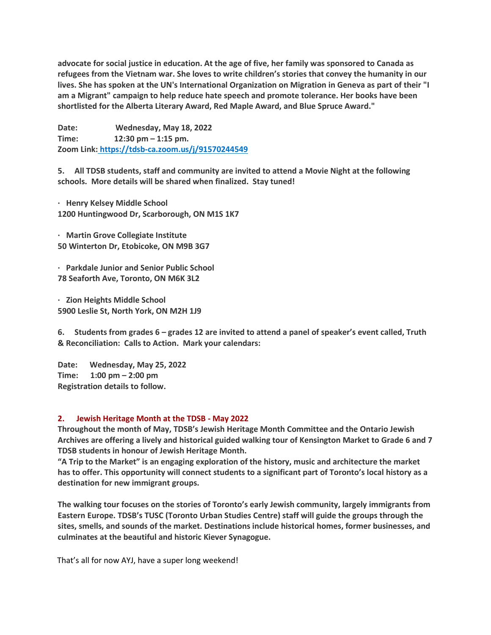advocate for social justice in education. At the age of five, her family was sponsored to Canada as **refugees from the Vietnam war. She loves to write children's stories that convey the humanity in our** lives. She has spoken at the UN's International Organization on Migration in Geneva as part of their "I **am a Migrant" campaign to help reduce hate speech and promote tolerance. Her books have been shortlisted for the Alberta Literary Award, Red Maple Award, and Blue Spruce Award."**

**Date: Wednesday, May 18, 2022 Time: 12:30 pm – 1:15 pm. Zoom Link: <https://tdsb-ca.zoom.us/j/91570244549>**

**5. All TDSB students, staff and community are invited to attend a Movie Night at the following schools. More details will be shared when finalized. Stay tuned!**

**· Henry Kelsey Middle School 1200 Huntingwood Dr, Scarborough, ON M1S 1K7**

**· Martin Grove Collegiate Institute 50 Winterton Dr, Etobicoke, ON M9B 3G7**

**· Parkdale Junior and Senior Public School 78 Seaforth Ave, Toronto, ON M6K 3L2**

**· Zion Heights Middle School 5900 Leslie St, North York, ON M2H 1J9**

**6. Students from grades 6 – grades 12 are invited to attend a panel of speaker's event called, Truth & Reconciliation: Calls to Action. Mark your calendars:**

**Date: Wednesday, May 25, 2022 Time: 1:00 pm – 2:00 pm Registration details to follow.**

#### **2. Jewish Heritage Month at the TDSB - May 2022**

**Throughout the month of May, TDSB's Jewish Heritage Month Committee and the Ontario Jewish Archives are offering a lively and historical guided walking tour of Kensington Market to Grade 6 and 7 TDSB students in honour of Jewish Heritage Month.**

**"A Trip to the Market" is an engaging exploration of the history, music and architecture the market has to offer. This opportunity will connect students to a significant part of Toronto's local history as a destination for new immigrant groups.**

**The walking tour focuses on the stories of Toronto's early Jewish community, largely immigrants from Eastern Europe. TDSB's TUSC (Toronto Urban Studies Centre) staff will guide the groups through the sites, smells, and sounds of the market. Destinations include historical homes, former businesses, and culminates at the beautiful and historic Kiever Synagogue.**

That's all for now AYJ, have a super long weekend!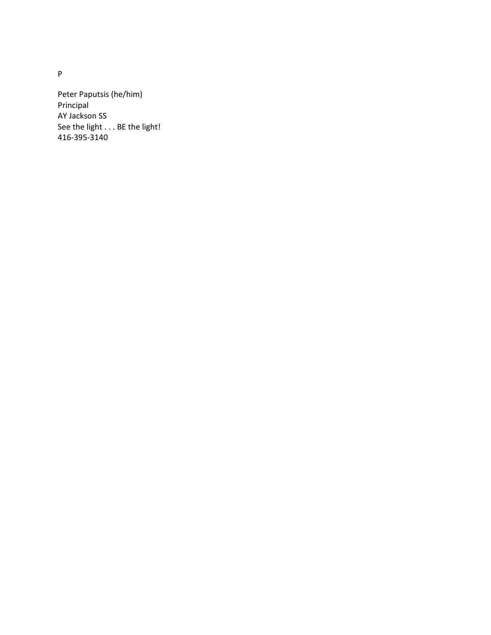Peter Paputsis (he/him) Principal AY Jackson SS See the light . . . BE the light! 416-395-3140

P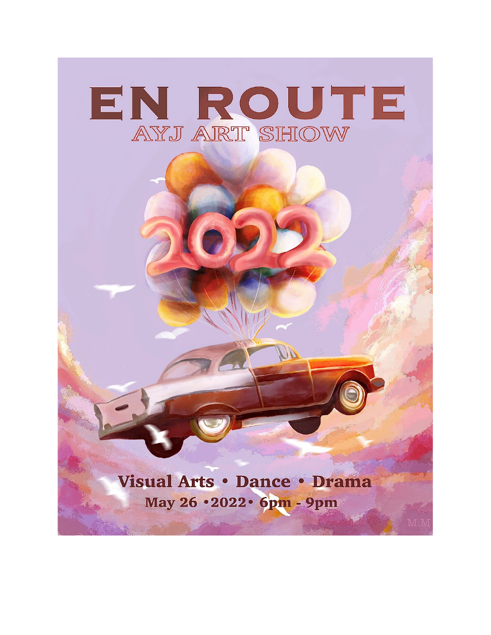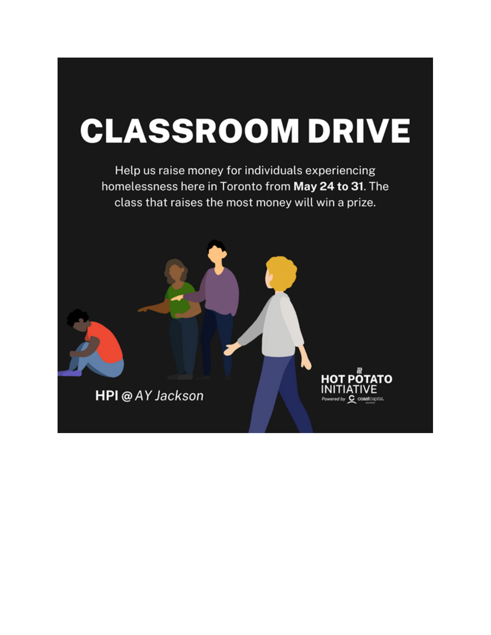## **CLASSROOM DRIVE**

Help us raise money for individuals experiencing homelessness here in Toronto from May 24 to 31. The class that raises the most money will win a prize.